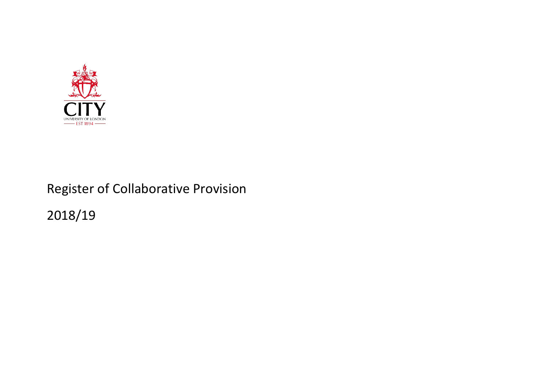

## Register of Collaborative Provision 2018/19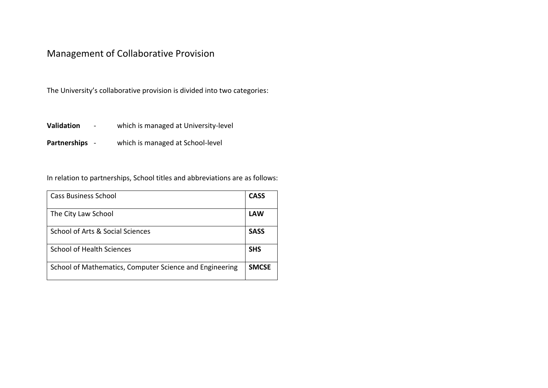## Management of Collaborative Provision

The University's collaborative provision is divided into two categories:

**Validation** - which is managed at University-level

**Partnerships** - which is managed at School-level

In relation to partnerships, School titles and abbreviations are as follows:

| <b>Cass Business School</b>                             | <b>CASS</b>  |
|---------------------------------------------------------|--------------|
| The City Law School                                     | <b>LAW</b>   |
| School of Arts & Social Sciences                        | <b>SASS</b>  |
| <b>School of Health Sciences</b>                        | <b>SHS</b>   |
| School of Mathematics, Computer Science and Engineering | <b>SMCSE</b> |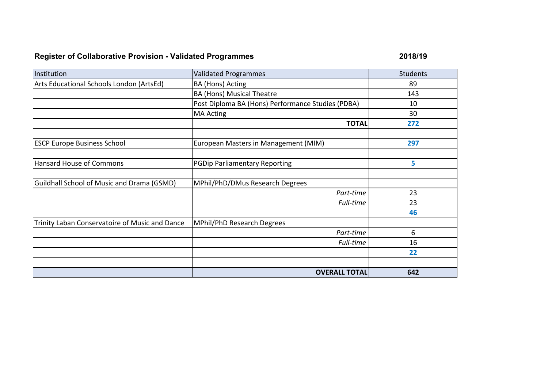## **Register of Collaborative Provision - Validated Programmes 2018/19**

| Institution                                    | <b>Validated Programmes</b>                       | <b>Students</b> |
|------------------------------------------------|---------------------------------------------------|-----------------|
| Arts Educational Schools London (ArtsEd)       | <b>BA (Hons) Acting</b>                           | 89              |
|                                                | <b>BA (Hons) Musical Theatre</b>                  | 143             |
|                                                | Post Diploma BA (Hons) Performance Studies (PDBA) | 10              |
|                                                | <b>MA Acting</b>                                  | 30              |
|                                                | <b>TOTAL</b>                                      | 272             |
|                                                |                                                   |                 |
| <b>ESCP Europe Business School</b>             | European Masters in Management (MIM)              | 297             |
|                                                |                                                   |                 |
| Hansard House of Commons                       | <b>PGDip Parliamentary Reporting</b>              | 5               |
|                                                |                                                   |                 |
| Guildhall School of Music and Drama (GSMD)     | MPhil/PhD/DMus Research Degrees                   |                 |
|                                                | Part-time                                         | 23              |
|                                                | Full-time                                         | 23              |
|                                                |                                                   | 46              |
| Trinity Laban Conservatoire of Music and Dance | MPhil/PhD Research Degrees                        |                 |
|                                                | Part-time                                         | 6               |
|                                                | Full-time                                         | 16              |
|                                                |                                                   | 22              |
|                                                |                                                   |                 |
|                                                | <b>OVERALL TOTAL</b>                              | 642             |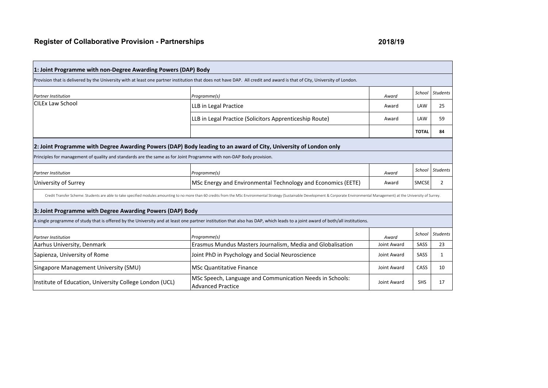| 1: Joint Programme with non-Degree Awarding Powers (DAP) Body                                                       |                                                                                                                                                                                                                               |             |              |                 |
|---------------------------------------------------------------------------------------------------------------------|-------------------------------------------------------------------------------------------------------------------------------------------------------------------------------------------------------------------------------|-------------|--------------|-----------------|
|                                                                                                                     | Provision that is delivered by the University with at least one partner institution that does not have DAP. All credit and award is that of City, University of London.                                                       |             |              |                 |
| <b>Partner Institution</b>                                                                                          | Programme(s)                                                                                                                                                                                                                  | Award       | School       | <b>Students</b> |
| <b>CILEx Law School</b>                                                                                             | LLB in Legal Practice                                                                                                                                                                                                         | Award       | LAW          | 25              |
|                                                                                                                     | LLB in Legal Practice (Solicitors Apprenticeship Route)                                                                                                                                                                       | Award       | LAW          | 59              |
|                                                                                                                     |                                                                                                                                                                                                                               |             | <b>TOTAL</b> | 84              |
|                                                                                                                     | 2: Joint Programme with Degree Awarding Powers (DAP) Body leading to an award of City, University of London only                                                                                                              |             |              |                 |
| Principles for management of quality and standards are the same as for Joint Programme with non-DAP Body provision. |                                                                                                                                                                                                                               |             |              |                 |
| <b>Partner Institution</b>                                                                                          | Programme(s)                                                                                                                                                                                                                  | Award       | School       | <b>Students</b> |
| University of Surrey                                                                                                | MSc Energy and Environmental Technology and Economics (EETE)                                                                                                                                                                  | Award       | <b>SMCSE</b> | 2               |
|                                                                                                                     | Credit Transfer Scheme: Students are able to take specified modules amounting to no more than 60 credits from the MSc Environmental Strategy (Sustainable Development & Corporate Environmental Management) at the University |             |              |                 |
| 3: Joint Programme with Degree Awarding Powers (DAP) Body                                                           |                                                                                                                                                                                                                               |             |              |                 |
|                                                                                                                     | A single programme of study that is offered by the University and at least one partner institution that also has DAP, which leads to a joint award of both/all institutions.                                                  |             |              |                 |
| <b>Partner Institution</b>                                                                                          | Programme(s)                                                                                                                                                                                                                  | Award       | School       | <b>Students</b> |
| Aarhus University, Denmark                                                                                          | Erasmus Mundus Masters Journalism, Media and Globalisation                                                                                                                                                                    | Joint Award | SASS         | 23              |
| Sapienza, University of Rome                                                                                        | Joint PhD in Psychology and Social Neuroscience                                                                                                                                                                               | Joint Award | SASS         | 1               |
| Singapore Management University (SMU)                                                                               | <b>MSc Quantitative Finance</b>                                                                                                                                                                                               | Joint Award | CASS         | 10              |
| Institute of Education, University College London (UCL)                                                             | MSc Speech, Language and Communication Needs in Schools:<br><b>Advanced Practice</b>                                                                                                                                          | Joint Award | <b>SHS</b>   | 17              |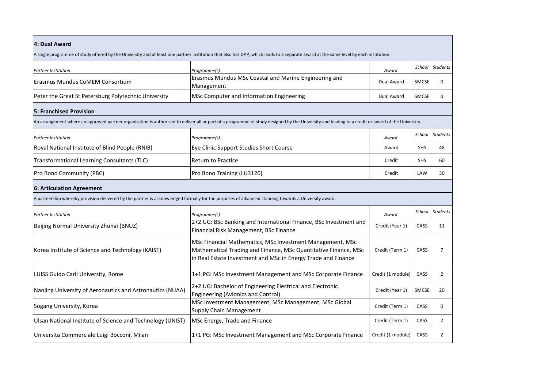| 4: Dual Award                                                                                                                                       |                                                                                                                                                                                                   |                   |              |                 |  |  |
|-----------------------------------------------------------------------------------------------------------------------------------------------------|---------------------------------------------------------------------------------------------------------------------------------------------------------------------------------------------------|-------------------|--------------|-----------------|--|--|
|                                                                                                                                                     | A single programme of study offered by the University and at least one partner institution that also has DAP, which leads to a separate award at the same level by each institution.              |                   |              |                 |  |  |
| <b>Partner Institution</b>                                                                                                                          | Programme(s)                                                                                                                                                                                      | Award             |              | School Students |  |  |
| Erasmus Mundus CoMEM Consortium                                                                                                                     | Erasmus Mundus MSc Coastal and Marine Engineering and<br>Management                                                                                                                               | Dual Award        | SMCSE        | 0               |  |  |
| Peter the Great St Petersburg Polytechnic University                                                                                                | MSc Computer and Information Engineering                                                                                                                                                          | Dual Award        | <b>SMCSE</b> | 0               |  |  |
| <b>5: Franchised Provision</b>                                                                                                                      |                                                                                                                                                                                                   |                   |              |                 |  |  |
|                                                                                                                                                     | An arrangement where an approved partner organisation is authorised to deliver all or part of a programme of study designed by the University and leading to a credit or award of the University. |                   |              |                 |  |  |
| <b>Partner Institution</b>                                                                                                                          | Programme(s)                                                                                                                                                                                      | Award             | School       | <b>Students</b> |  |  |
| Royal National Institute of Blind People (RNIB)                                                                                                     | Eye Clinic Support Studies Short Course                                                                                                                                                           | Award             | <b>SHS</b>   | 48              |  |  |
| Transformational Learning Consultants (TLC)                                                                                                         | <b>Return to Practice</b>                                                                                                                                                                         | Credit            | <b>SHS</b>   | 60              |  |  |
| Pro Bono Community (PBC)                                                                                                                            | Pro Bono Training (LU3120)                                                                                                                                                                        | Credit            | LAW          | 30              |  |  |
| 6: Articulation Agreement                                                                                                                           |                                                                                                                                                                                                   |                   |              |                 |  |  |
| A partnership whereby provision delivered by the partner is acknowledged formally for the purposes of advanced standing towards a University award. |                                                                                                                                                                                                   |                   |              |                 |  |  |
| <b>Partner Institution</b>                                                                                                                          | Programme(s)                                                                                                                                                                                      | Award             |              | School Students |  |  |
| Beijing Normal University Zhuhai (BNUZ)                                                                                                             | 2+2 UG: BSc Banking and International Finance, BSc Investment and<br>Financial Risk Management, BSc Finance                                                                                       | Credit (Year 1)   | CASS         | 11              |  |  |
| Korea Institute of Science and Technology (KAIST)                                                                                                   | MSc Financial Mathematics, MSc Investment Management, MSc<br>Mathematical Trading and Finance, MSc Quantitative Finance, MSc<br>in Real Estate Investment and MSc in Energy Trade and Finance     | Credit (Term 1)   | CASS         | 7               |  |  |
| LUISS Guido Carli University, Rome                                                                                                                  | 1+1 PG: MSc Investment Management and MSc Corporate Finance                                                                                                                                       | Credit (1 module) | CASS         | $\overline{2}$  |  |  |
| Nanjing University of Aeronautics and Astronautics (NUAA)                                                                                           | 2+2 UG: Bachelor of Engineering Electrical and Electronic<br><b>Engineering (Avionics and Control)</b>                                                                                            | Credit (Year 1)   | SMCSE        | 20              |  |  |
| Sogang University, Korea                                                                                                                            | MSc Investment Management, MSc Management, MSc Global<br>Supply Chain Management                                                                                                                  | Credit (Term 1)   | CASS         | 0               |  |  |
| Ulsan National Institute of Science and Technology (UNIST)                                                                                          | MSc Energy, Trade and Finance                                                                                                                                                                     | Credit (Term 1)   | CASS         | $\overline{2}$  |  |  |
| Universita Commerciale Luigi Bocconi, Milan                                                                                                         | 1+1 PG: MSc Investment Management and MSc Corporate Finance                                                                                                                                       | Credit (1 module) | CASS         | $\overline{2}$  |  |  |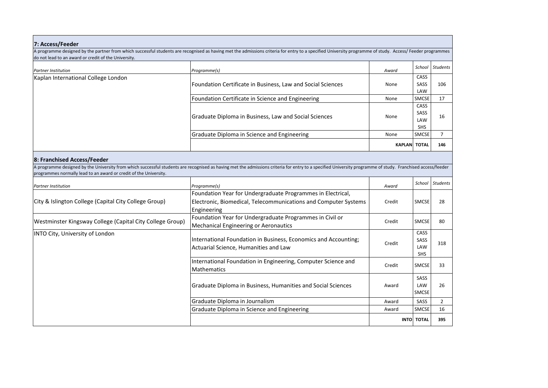| 7: Access/Feeder                                                  |                                                                                                                                                                                                             |               |                   |                 |
|-------------------------------------------------------------------|-------------------------------------------------------------------------------------------------------------------------------------------------------------------------------------------------------------|---------------|-------------------|-----------------|
|                                                                   | A programme designed by the partner from which successful students are recognised as having met the admissions criteria for entry to a specified University programme of study. Access/ Feeder programmes   |               |                   |                 |
| do not lead to an award or credit of the University.              |                                                                                                                                                                                                             |               |                   |                 |
| <b>Partner Institution</b>                                        | Programme(s)                                                                                                                                                                                                | Award         | School            | <b>Students</b> |
| Kaplan International College London                               |                                                                                                                                                                                                             |               | CASS              |                 |
|                                                                   | Foundation Certificate in Business, Law and Social Sciences                                                                                                                                                 | None          | SASS<br>LAW       | 106             |
|                                                                   | Foundation Certificate in Science and Engineering                                                                                                                                                           | None          | <b>SMCSE</b>      | 17              |
|                                                                   |                                                                                                                                                                                                             |               | CASS              |                 |
|                                                                   | Graduate Diploma in Business, Law and Social Sciences                                                                                                                                                       | None          | SASS              | 16              |
|                                                                   |                                                                                                                                                                                                             |               | LAW<br>SHS        |                 |
|                                                                   | Graduate Diploma in Science and Engineering                                                                                                                                                                 | None          | <b>SMCSE</b>      | $\overline{7}$  |
|                                                                   |                                                                                                                                                                                                             | <b>KAPLAN</b> | <b>TOTAL</b>      | 146             |
| 8: Franchised Access/Feeder                                       |                                                                                                                                                                                                             |               |                   |                 |
|                                                                   | A programme designed by the University from which successful students are recognised as having met the admissions criteria for entry to a specified University programme of study. Franchised access/feeder |               |                   |                 |
| programmes normally lead to an award or credit of the University. |                                                                                                                                                                                                             |               |                   |                 |
| <b>Partner Institution</b>                                        | Programme(s)                                                                                                                                                                                                | Award         | School            | <b>Students</b> |
|                                                                   | Foundation Year for Undergraduate Programmes in Electrical,                                                                                                                                                 |               |                   |                 |
| City & Islington College (Capital City College Group)             | Electronic, Biomedical, Telecommunications and Computer Systems                                                                                                                                             | Credit        | <b>SMCSE</b>      | 28              |
|                                                                   | Engineering                                                                                                                                                                                                 |               |                   |                 |
| Westminster Kingsway College (Capital City College Group)         | Foundation Year for Undergraduate Programmes in Civil or<br><b>Mechanical Engineering or Aeronautics</b>                                                                                                    | Credit        | <b>SMCSE</b>      | 80              |
| INTO City, University of London                                   |                                                                                                                                                                                                             |               | CASS              |                 |
|                                                                   | International Foundation in Business, Economics and Accounting;                                                                                                                                             | Credit        | SASS              | 318             |
|                                                                   | Actuarial Science, Humanities and Law                                                                                                                                                                       |               | LAW<br><b>SHS</b> |                 |
|                                                                   | International Foundation in Engineering, Computer Science and                                                                                                                                               |               |                   |                 |
|                                                                   | Mathematics                                                                                                                                                                                                 | Credit        | SMCSE             | 33              |
|                                                                   |                                                                                                                                                                                                             |               | SASS              |                 |
|                                                                   | Graduate Diploma in Business, Humanities and Social Sciences                                                                                                                                                | Award         | LAW               | 26              |
|                                                                   |                                                                                                                                                                                                             |               | SMCSE             |                 |
|                                                                   | Graduate Diploma in Journalism                                                                                                                                                                              | Award         | SASS              | $\overline{2}$  |
|                                                                   | Graduate Diploma in Science and Engineering                                                                                                                                                                 | Award         | <b>SMCSE</b>      | 16              |
|                                                                   |                                                                                                                                                                                                             | <b>INTO</b>   | <b>TOTAL</b>      | 395             |